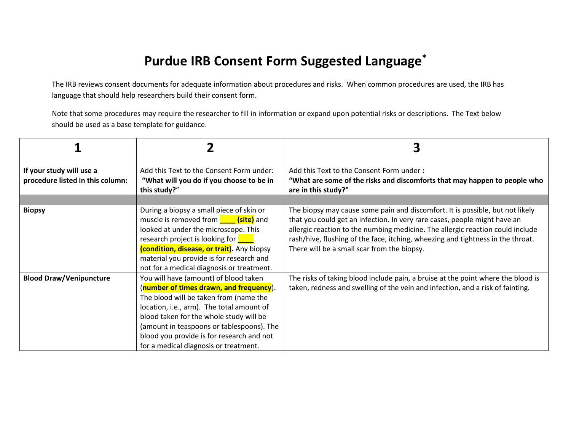## **Purdue IRB Consent Form Suggested Language\***

The IRB reviews consent documents for adequate information about procedures and risks. When common procedures are used, the IRB has language that should help researchers build their consent form.

Note that some procedures may require the researcher to fill in information or expand upon potential risks or descriptions. The Text below should be used as a base template for guidance.

| If your study will use a<br>procedure listed in this column: | Add this Text to the Consent Form under:<br>"What will you do if you choose to be in<br>this study?"                                                                                                                                                                                                                                                  | Add this Text to the Consent Form under:<br>"What are some of the risks and discomforts that may happen to people who<br>are in this study?"                                                                                                                                                                                                                                   |
|--------------------------------------------------------------|-------------------------------------------------------------------------------------------------------------------------------------------------------------------------------------------------------------------------------------------------------------------------------------------------------------------------------------------------------|--------------------------------------------------------------------------------------------------------------------------------------------------------------------------------------------------------------------------------------------------------------------------------------------------------------------------------------------------------------------------------|
| <b>Biopsy</b>                                                | During a biopsy a small piece of skin or<br>muscle is removed from <b>containtly</b> and<br>looked at under the microscope. This<br>research project is looking for <b>compared</b><br>(condition, disease, or trait). Any biopsy<br>material you provide is for research and<br>not for a medical diagnosis or treatment.                            | The biopsy may cause some pain and discomfort. It is possible, but not likely<br>that you could get an infection. In very rare cases, people might have an<br>allergic reaction to the numbing medicine. The allergic reaction could include<br>rash/hive, flushing of the face, itching, wheezing and tightness in the throat.<br>There will be a small scar from the biopsy. |
| <b>Blood Draw/Venipuncture</b>                               | You will have (amount) of blood taken<br>(number of times drawn, and frequency).<br>The blood will be taken from (name the<br>location, i.e., arm). The total amount of<br>blood taken for the whole study will be<br>(amount in teaspoons or tablespoons). The<br>blood you provide is for research and not<br>for a medical diagnosis or treatment. | The risks of taking blood include pain, a bruise at the point where the blood is<br>taken, redness and swelling of the vein and infection, and a risk of fainting.                                                                                                                                                                                                             |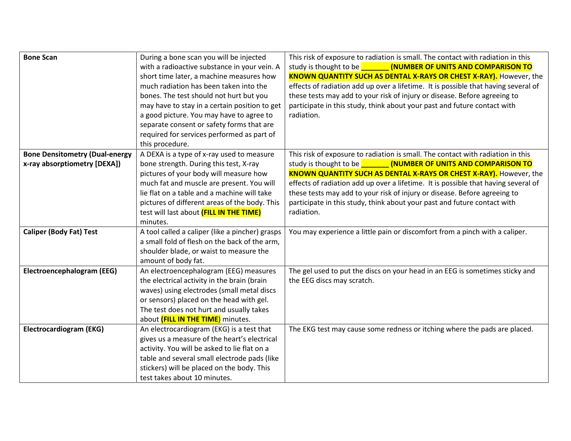| <b>Bone Scan</b>                      | During a bone scan you will be injected         | This risk of exposure to radiation is small. The contact with radiation in this     |
|---------------------------------------|-------------------------------------------------|-------------------------------------------------------------------------------------|
|                                       | with a radioactive substance in your vein. A    | study is thought to be <b>CONDUGGE CONSTRUST (NUMBER OF UNITS AND COMPARISON TO</b> |
|                                       | short time later, a machine measures how        | <b>KNOWN QUANTITY SUCH AS DENTAL X-RAYS OR CHEST X-RAY).</b> However, the           |
|                                       | much radiation has been taken into the          | effects of radiation add up over a lifetime. It is possible that having several of  |
|                                       | bones. The test should not hurt but you         | these tests may add to your risk of injury or disease. Before agreeing to           |
|                                       | may have to stay in a certain position to get   | participate in this study, think about your past and future contact with            |
|                                       | a good picture. You may have to agree to        | radiation.                                                                          |
|                                       | separate consent or safety forms that are       |                                                                                     |
|                                       | required for services performed as part of      |                                                                                     |
|                                       | this procedure.                                 |                                                                                     |
| <b>Bone Densitometry (Dual-energy</b> | A DEXA is a type of x-ray used to measure       | This risk of exposure to radiation is small. The contact with radiation in this     |
| x-ray absorptiometry [DEXA])          | bone strength. During this test, X-ray          | study is thought to be <b>CONDUGGE CONSTRUST (NUMBER OF UNITS AND COMPARISON TO</b> |
|                                       | pictures of your body will measure how          | <b>KNOWN QUANTITY SUCH AS DENTAL X-RAYS OR CHEST X-RAY).</b> However, the           |
|                                       | much fat and muscle are present. You will       | effects of radiation add up over a lifetime. It is possible that having several of  |
|                                       | lie flat on a table and a machine will take     | these tests may add to your risk of injury or disease. Before agreeing to           |
|                                       | pictures of different areas of the body. This   | participate in this study, think about your past and future contact with            |
|                                       | test will last about (FILL IN THE TIME)         | radiation.                                                                          |
|                                       | minutes.                                        |                                                                                     |
| <b>Caliper (Body Fat) Test</b>        | A tool called a caliper (like a pincher) grasps | You may experience a little pain or discomfort from a pinch with a caliper.         |
|                                       | a small fold of flesh on the back of the arm,   |                                                                                     |
|                                       | shoulder blade, or waist to measure the         |                                                                                     |
|                                       | amount of body fat.                             |                                                                                     |
| Electroencephalogram (EEG)            | An electroencephalogram (EEG) measures          | The gel used to put the discs on your head in an EEG is sometimes sticky and        |
|                                       | the electrical activity in the brain (brain     | the EEG discs may scratch.                                                          |
|                                       | waves) using electrodes (small metal discs      |                                                                                     |
|                                       | or sensors) placed on the head with gel.        |                                                                                     |
|                                       | The test does not hurt and usually takes        |                                                                                     |
|                                       | about (FILL IN THE TIME) minutes.               |                                                                                     |
| <b>Electrocardiogram (EKG)</b>        | An electrocardiogram (EKG) is a test that       | The EKG test may cause some redness or itching where the pads are placed.           |
|                                       | gives us a measure of the heart's electrical    |                                                                                     |
|                                       | activity. You will be asked to lie flat on a    |                                                                                     |
|                                       | table and several small electrode pads (like    |                                                                                     |
|                                       | stickers) will be placed on the body. This      |                                                                                     |
|                                       | test takes about 10 minutes.                    |                                                                                     |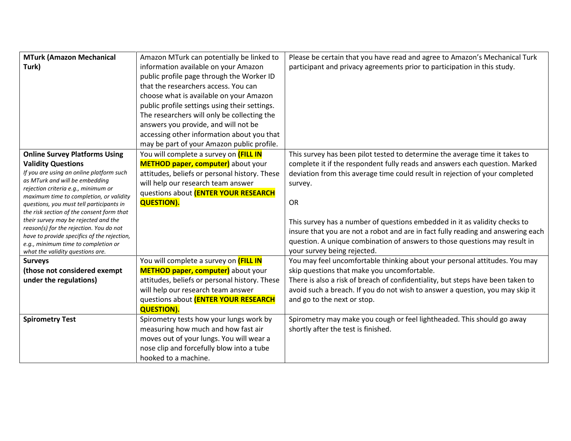| <b>MTurk (Amazon Mechanical</b>                                                        | Amazon MTurk can potentially be linked to     | Please be certain that you have read and agree to Amazon's Mechanical Turk       |
|----------------------------------------------------------------------------------------|-----------------------------------------------|----------------------------------------------------------------------------------|
| Turk)                                                                                  | information available on your Amazon          | participant and privacy agreements prior to participation in this study.         |
|                                                                                        | public profile page through the Worker ID     |                                                                                  |
|                                                                                        | that the researchers access. You can          |                                                                                  |
|                                                                                        | choose what is available on your Amazon       |                                                                                  |
|                                                                                        | public profile settings using their settings. |                                                                                  |
|                                                                                        | The researchers will only be collecting the   |                                                                                  |
|                                                                                        | answers you provide, and will not be          |                                                                                  |
|                                                                                        | accessing other information about you that    |                                                                                  |
|                                                                                        | may be part of your Amazon public profile.    |                                                                                  |
| <b>Online Survey Platforms Using</b>                                                   | You will complete a survey on <b>(FILL IN</b> | This survey has been pilot tested to determine the average time it takes to      |
| <b>Validity Questions</b>                                                              | METHOD paper, computer) about your            | complete it if the respondent fully reads and answers each question. Marked      |
| If you are using an online platform such                                               | attitudes, beliefs or personal history. These | deviation from this average time could result in rejection of your completed     |
| as MTurk and will be embedding                                                         | will help our research team answer            | survey.                                                                          |
| rejection criteria e.g., minimum or<br>maximum time to completion, or validity         | questions about (ENTER YOUR RESEARCH          |                                                                                  |
| questions, you must tell participants in                                               | <b>QUESTION).</b>                             | OR                                                                               |
| the risk section of the consent form that                                              |                                               |                                                                                  |
| their survey may be rejected and the                                                   |                                               | This survey has a number of questions embedded in it as validity checks to       |
| reason(s) for the rejection. You do not<br>have to provide specifics of the rejection, |                                               | insure that you are not a robot and are in fact fully reading and answering each |
| e.g., minimum time to completion or                                                    |                                               | question. A unique combination of answers to those questions may result in       |
| what the validity questions are.                                                       |                                               | your survey being rejected.                                                      |
| <b>Surveys</b>                                                                         | You will complete a survey on <b>(FILL IN</b> | You may feel uncomfortable thinking about your personal attitudes. You may       |
| (those not considered exempt                                                           | METHOD paper, computer) about your            | skip questions that make you uncomfortable.                                      |
| under the regulations)                                                                 | attitudes, beliefs or personal history. These | There is also a risk of breach of confidentiality, but steps have been taken to  |
|                                                                                        | will help our research team answer            | avoid such a breach. If you do not wish to answer a question, you may skip it    |
|                                                                                        | questions about (ENTER YOUR RESEARCH          | and go to the next or stop.                                                      |
|                                                                                        | <b>QUESTION).</b>                             |                                                                                  |
| <b>Spirometry Test</b>                                                                 | Spirometry tests how your lungs work by       | Spirometry may make you cough or feel lightheaded. This should go away           |
|                                                                                        | measuring how much and how fast air           | shortly after the test is finished.                                              |
|                                                                                        | moves out of your lungs. You will wear a      |                                                                                  |
|                                                                                        | nose clip and forcefully blow into a tube     |                                                                                  |
|                                                                                        | hooked to a machine.                          |                                                                                  |